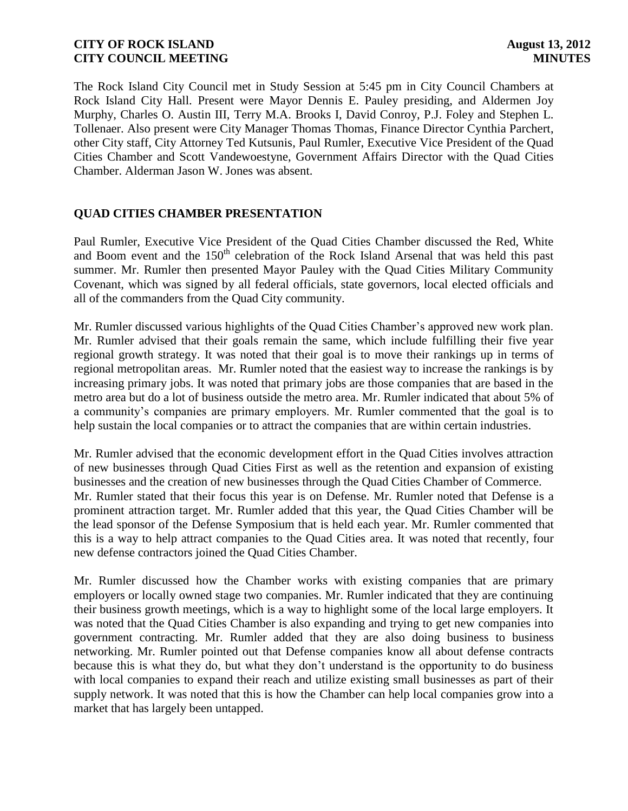The Rock Island City Council met in Study Session at 5:45 pm in City Council Chambers at Rock Island City Hall. Present were Mayor Dennis E. Pauley presiding, and Aldermen Joy Murphy, Charles O. Austin III, Terry M.A. Brooks I, David Conroy, P.J. Foley and Stephen L. Tollenaer. Also present were City Manager Thomas Thomas, Finance Director Cynthia Parchert, other City staff, City Attorney Ted Kutsunis, Paul Rumler, Executive Vice President of the Quad Cities Chamber and Scott Vandewoestyne, Government Affairs Director with the Quad Cities Chamber. Alderman Jason W. Jones was absent.

# **QUAD CITIES CHAMBER PRESENTATION**

Paul Rumler, Executive Vice President of the Quad Cities Chamber discussed the Red, White and Boom event and the 150<sup>th</sup> celebration of the Rock Island Arsenal that was held this past summer. Mr. Rumler then presented Mayor Pauley with the Quad Cities Military Community Covenant, which was signed by all federal officials, state governors, local elected officials and all of the commanders from the Quad City community.

Mr. Rumler discussed various highlights of the Quad Cities Chamber's approved new work plan. Mr. Rumler advised that their goals remain the same, which include fulfilling their five year regional growth strategy. It was noted that their goal is to move their rankings up in terms of regional metropolitan areas. Mr. Rumler noted that the easiest way to increase the rankings is by increasing primary jobs. It was noted that primary jobs are those companies that are based in the metro area but do a lot of business outside the metro area. Mr. Rumler indicated that about 5% of a community's companies are primary employers. Mr. Rumler commented that the goal is to help sustain the local companies or to attract the companies that are within certain industries.

Mr. Rumler advised that the economic development effort in the Quad Cities involves attraction of new businesses through Quad Cities First as well as the retention and expansion of existing businesses and the creation of new businesses through the Quad Cities Chamber of Commerce. Mr. Rumler stated that their focus this year is on Defense. Mr. Rumler noted that Defense is a prominent attraction target. Mr. Rumler added that this year, the Quad Cities Chamber will be the lead sponsor of the Defense Symposium that is held each year. Mr. Rumler commented that this is a way to help attract companies to the Quad Cities area. It was noted that recently, four new defense contractors joined the Quad Cities Chamber.

Mr. Rumler discussed how the Chamber works with existing companies that are primary employers or locally owned stage two companies. Mr. Rumler indicated that they are continuing their business growth meetings, which is a way to highlight some of the local large employers. It was noted that the Quad Cities Chamber is also expanding and trying to get new companies into government contracting. Mr. Rumler added that they are also doing business to business networking. Mr. Rumler pointed out that Defense companies know all about defense contracts because this is what they do, but what they don't understand is the opportunity to do business with local companies to expand their reach and utilize existing small businesses as part of their supply network. It was noted that this is how the Chamber can help local companies grow into a market that has largely been untapped.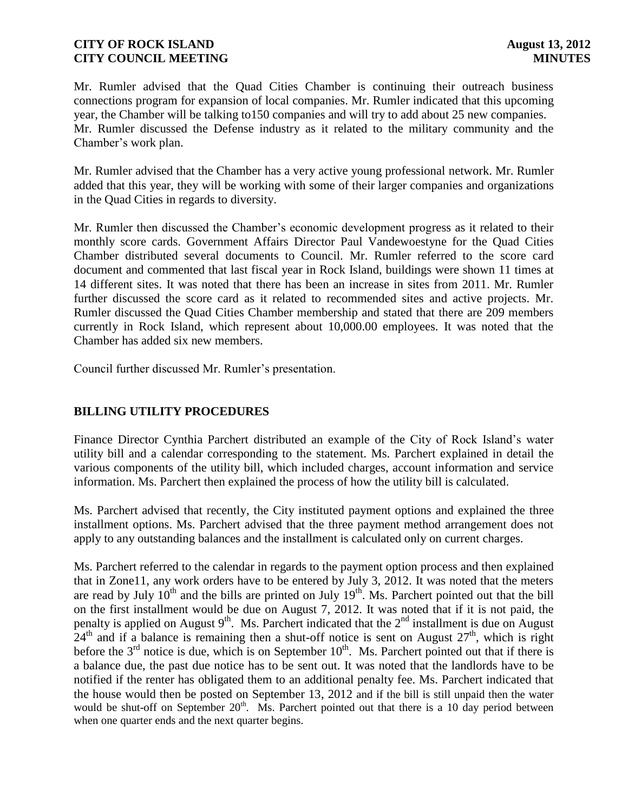Mr. Rumler advised that the Quad Cities Chamber is continuing their outreach business connections program for expansion of local companies. Mr. Rumler indicated that this upcoming year, the Chamber will be talking to150 companies and will try to add about 25 new companies. Mr. Rumler discussed the Defense industry as it related to the military community and the Chamber's work plan.

Mr. Rumler advised that the Chamber has a very active young professional network. Mr. Rumler added that this year, they will be working with some of their larger companies and organizations in the Quad Cities in regards to diversity.

Mr. Rumler then discussed the Chamber's economic development progress as it related to their monthly score cards. Government Affairs Director Paul Vandewoestyne for the Quad Cities Chamber distributed several documents to Council. Mr. Rumler referred to the score card document and commented that last fiscal year in Rock Island, buildings were shown 11 times at 14 different sites. It was noted that there has been an increase in sites from 2011. Mr. Rumler further discussed the score card as it related to recommended sites and active projects. Mr. Rumler discussed the Quad Cities Chamber membership and stated that there are 209 members currently in Rock Island, which represent about 10,000.00 employees. It was noted that the Chamber has added six new members.

Council further discussed Mr. Rumler's presentation.

# **BILLING UTILITY PROCEDURES**

Finance Director Cynthia Parchert distributed an example of the City of Rock Island's water utility bill and a calendar corresponding to the statement. Ms. Parchert explained in detail the various components of the utility bill, which included charges, account information and service information. Ms. Parchert then explained the process of how the utility bill is calculated.

Ms. Parchert advised that recently, the City instituted payment options and explained the three installment options. Ms. Parchert advised that the three payment method arrangement does not apply to any outstanding balances and the installment is calculated only on current charges.

Ms. Parchert referred to the calendar in regards to the payment option process and then explained that in Zone11, any work orders have to be entered by July 3, 2012. It was noted that the meters are read by July  $10^{th}$  and the bills are printed on July  $19^{th}$ . Ms. Parchert pointed out that the bill on the first installment would be due on August 7, 2012. It was noted that if it is not paid, the penalty is applied on August  $9<sup>th</sup>$ . Ms. Parchert indicated that the  $2<sup>nd</sup>$  installment is due on August  $24<sup>th</sup>$  and if a balance is remaining then a shut-off notice is sent on August  $27<sup>th</sup>$ , which is right before the  $3<sup>rd</sup>$  notice is due, which is on September  $10<sup>th</sup>$ . Ms. Parchert pointed out that if there is a balance due, the past due notice has to be sent out. It was noted that the landlords have to be notified if the renter has obligated them to an additional penalty fee. Ms. Parchert indicated that the house would then be posted on September 13, 2012 and if the bill is still unpaid then the water would be shut-off on September  $20<sup>th</sup>$ . Ms. Parchert pointed out that there is a 10 day period between when one quarter ends and the next quarter begins.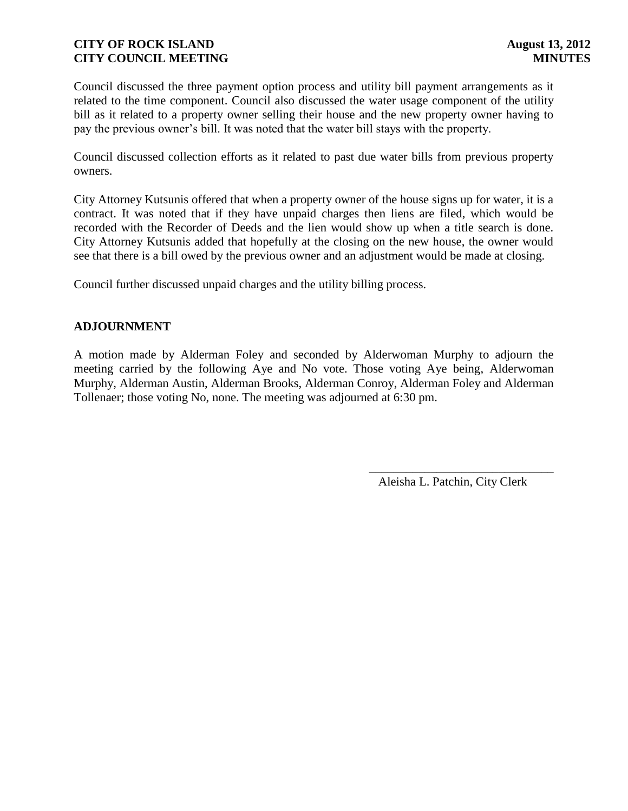Council discussed the three payment option process and utility bill payment arrangements as it related to the time component. Council also discussed the water usage component of the utility bill as it related to a property owner selling their house and the new property owner having to pay the previous owner's bill. It was noted that the water bill stays with the property.

Council discussed collection efforts as it related to past due water bills from previous property owners.

City Attorney Kutsunis offered that when a property owner of the house signs up for water, it is a contract. It was noted that if they have unpaid charges then liens are filed, which would be recorded with the Recorder of Deeds and the lien would show up when a title search is done. City Attorney Kutsunis added that hopefully at the closing on the new house, the owner would see that there is a bill owed by the previous owner and an adjustment would be made at closing.

Council further discussed unpaid charges and the utility billing process.

### **ADJOURNMENT**

A motion made by Alderman Foley and seconded by Alderwoman Murphy to adjourn the meeting carried by the following Aye and No vote. Those voting Aye being, Alderwoman Murphy, Alderman Austin, Alderman Brooks, Alderman Conroy, Alderman Foley and Alderman Tollenaer; those voting No, none. The meeting was adjourned at 6:30 pm.

Aleisha L. Patchin, City Clerk

\_\_\_\_\_\_\_\_\_\_\_\_\_\_\_\_\_\_\_\_\_\_\_\_\_\_\_\_\_\_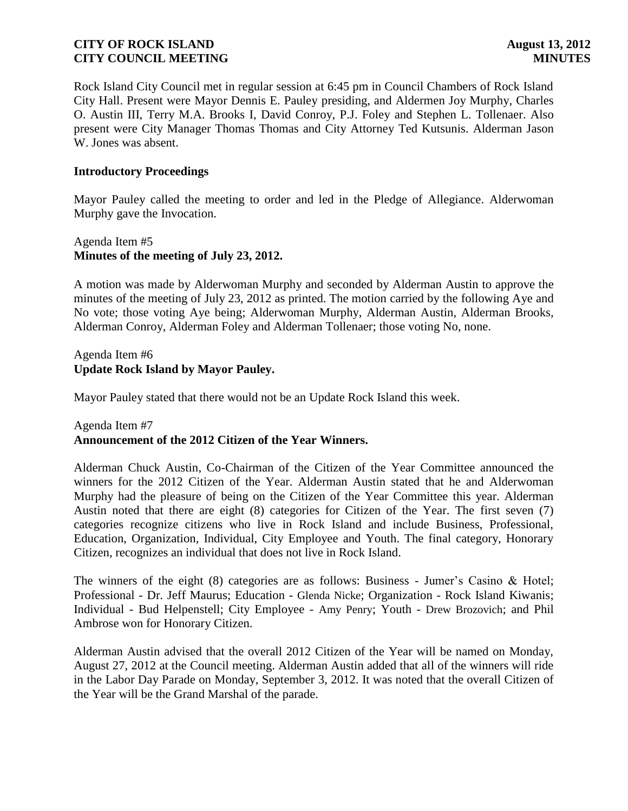Rock Island City Council met in regular session at 6:45 pm in Council Chambers of Rock Island City Hall. Present were Mayor Dennis E. Pauley presiding, and Aldermen Joy Murphy, Charles O. Austin III, Terry M.A. Brooks I, David Conroy, P.J. Foley and Stephen L. Tollenaer. Also present were City Manager Thomas Thomas and City Attorney Ted Kutsunis. Alderman Jason W. Jones was absent.

### **Introductory Proceedings**

Mayor Pauley called the meeting to order and led in the Pledge of Allegiance. Alderwoman Murphy gave the Invocation.

## Agenda Item #5 **Minutes of the meeting of July 23, 2012.**

A motion was made by Alderwoman Murphy and seconded by Alderman Austin to approve the minutes of the meeting of July 23, 2012 as printed. The motion carried by the following Aye and No vote; those voting Aye being; Alderwoman Murphy, Alderman Austin, Alderman Brooks, Alderman Conroy, Alderman Foley and Alderman Tollenaer; those voting No, none.

### Agenda Item #6 **Update Rock Island by Mayor Pauley.**

Mayor Pauley stated that there would not be an Update Rock Island this week.

### Agenda Item #7

### **Announcement of the 2012 Citizen of the Year Winners.**

Alderman Chuck Austin, Co-Chairman of the Citizen of the Year Committee announced the winners for the 2012 Citizen of the Year. Alderman Austin stated that he and Alderwoman Murphy had the pleasure of being on the Citizen of the Year Committee this year. Alderman Austin noted that there are eight (8) categories for Citizen of the Year. The first seven (7) categories recognize citizens who live in Rock Island and include Business, Professional, Education, Organization, Individual, City Employee and Youth. The final category, Honorary Citizen, recognizes an individual that does not live in Rock Island.

The winners of the eight (8) categories are as follows: Business - Jumer's Casino & Hotel; Professional - Dr. Jeff Maurus; Education - Glenda Nicke; Organization - Rock Island Kiwanis; Individual - Bud Helpenstell; City Employee - Amy Penry; Youth - Drew Brozovich; and Phil Ambrose won for Honorary Citizen.

Alderman Austin advised that the overall 2012 Citizen of the Year will be named on Monday, August 27, 2012 at the Council meeting. Alderman Austin added that all of the winners will ride in the Labor Day Parade on Monday, September 3, 2012. It was noted that the overall Citizen of the Year will be the Grand Marshal of the parade.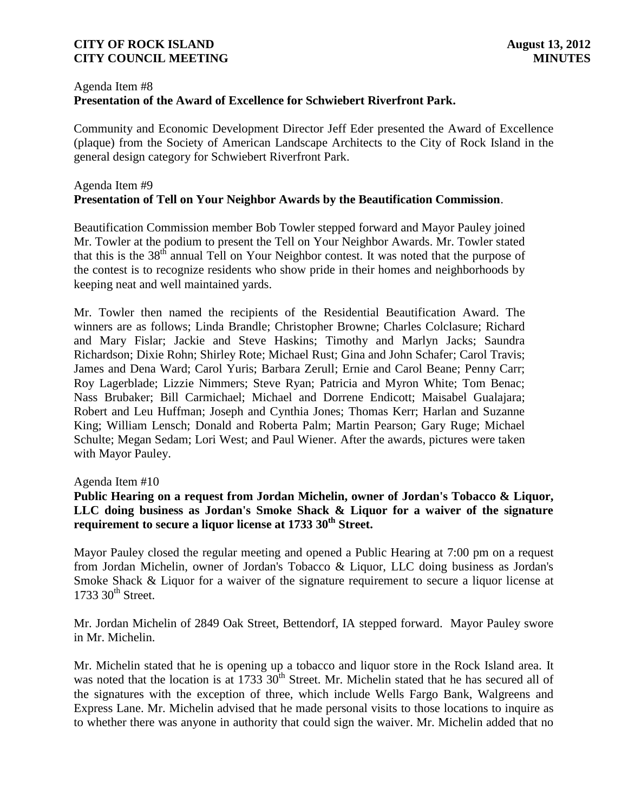## Agenda Item #8

# **Presentation of the Award of Excellence for Schwiebert Riverfront Park.**

Community and Economic Development Director Jeff Eder presented the Award of Excellence (plaque) from the Society of American Landscape Architects to the City of Rock Island in the general design category for Schwiebert Riverfront Park.

## Agenda Item #9 **Presentation of Tell on Your Neighbor Awards by the Beautification Commission**.

Beautification Commission member Bob Towler stepped forward and Mayor Pauley joined Mr. Towler at the podium to present the Tell on Your Neighbor Awards. Mr. Towler stated that this is the 38<sup>th</sup> annual Tell on Your Neighbor contest. It was noted that the purpose of the contest is to recognize residents who show pride in their homes and neighborhoods by keeping neat and well maintained yards.

Mr. Towler then named the recipients of the Residential Beautification Award. The winners are as follows; Linda Brandle; Christopher Browne; Charles Colclasure; Richard and Mary Fislar; Jackie and Steve Haskins; Timothy and Marlyn Jacks; Saundra Richardson; Dixie Rohn; Shirley Rote; Michael Rust; Gina and John Schafer; Carol Travis; James and Dena Ward; Carol Yuris; Barbara Zerull; Ernie and Carol Beane; Penny Carr; Roy Lagerblade; Lizzie Nimmers; Steve Ryan; Patricia and Myron White; Tom Benac; Nass Brubaker; Bill Carmichael; Michael and Dorrene Endicott; Maisabel Gualajara; Robert and Leu Huffman; Joseph and Cynthia Jones; Thomas Kerr; Harlan and Suzanne King; William Lensch; Donald and Roberta Palm; Martin Pearson; Gary Ruge; Michael Schulte; Megan Sedam; Lori West; and Paul Wiener. After the awards, pictures were taken with Mayor Pauley.

### Agenda Item #10

## **Public Hearing on a request from Jordan Michelin, owner of Jordan's Tobacco & Liquor, LLC doing business as Jordan's Smoke Shack & Liquor for a waiver of the signature requirement to secure a liquor license at 1733 30th Street.**

Mayor Pauley closed the regular meeting and opened a Public Hearing at 7:00 pm on a request from Jordan Michelin, owner of Jordan's Tobacco & Liquor, LLC doing business as Jordan's Smoke Shack & Liquor for a waiver of the signature requirement to secure a liquor license at  $1733$   $30<sup>th</sup>$  Street.

Mr. Jordan Michelin of 2849 Oak Street, Bettendorf, IA stepped forward. Mayor Pauley swore in Mr. Michelin.

Mr. Michelin stated that he is opening up a tobacco and liquor store in the Rock Island area. It was noted that the location is at  $1733 \cdot 30$ <sup>th</sup> Street. Mr. Michelin stated that he has secured all of the signatures with the exception of three, which include Wells Fargo Bank, Walgreens and Express Lane. Mr. Michelin advised that he made personal visits to those locations to inquire as to whether there was anyone in authority that could sign the waiver. Mr. Michelin added that no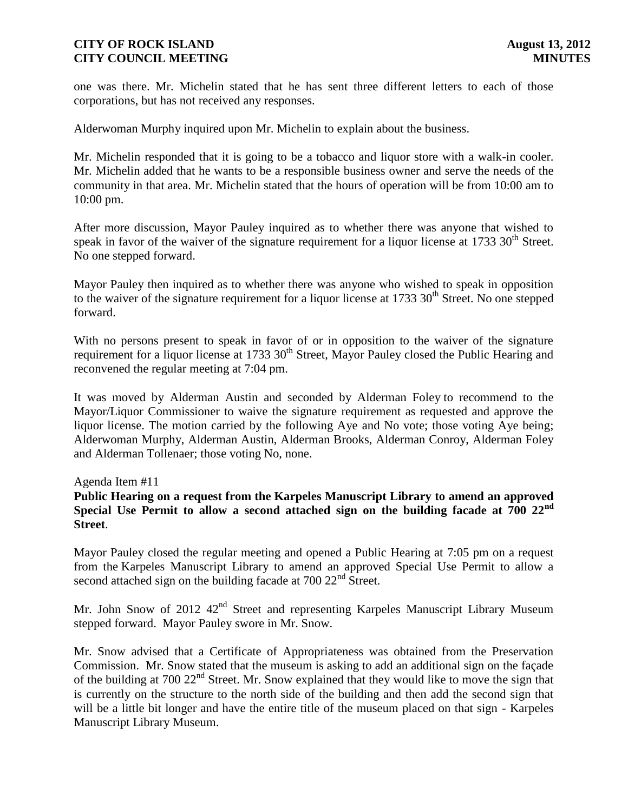one was there. Mr. Michelin stated that he has sent three different letters to each of those corporations, but has not received any responses.

Alderwoman Murphy inquired upon Mr. Michelin to explain about the business.

Mr. Michelin responded that it is going to be a tobacco and liquor store with a walk-in cooler. Mr. Michelin added that he wants to be a responsible business owner and serve the needs of the community in that area. Mr. Michelin stated that the hours of operation will be from 10:00 am to 10:00 pm.

After more discussion, Mayor Pauley inquired as to whether there was anyone that wished to speak in favor of the waiver of the signature requirement for a liquor license at  $1733 \, 30<sup>th</sup>$  Street. No one stepped forward.

Mayor Pauley then inquired as to whether there was anyone who wished to speak in opposition to the waiver of the signature requirement for a liquor license at  $1733\,30^{th}$  Street. No one stepped forward.

With no persons present to speak in favor of or in opposition to the waiver of the signature requirement for a liquor license at 1733 30<sup>th</sup> Street, Mayor Pauley closed the Public Hearing and reconvened the regular meeting at 7:04 pm.

It was moved by Alderman Austin and seconded by Alderman Foley to recommend to the Mayor/Liquor Commissioner to waive the signature requirement as requested and approve the liquor license. The motion carried by the following Aye and No vote; those voting Aye being; Alderwoman Murphy, Alderman Austin, Alderman Brooks, Alderman Conroy, Alderman Foley and Alderman Tollenaer; those voting No, none.

Agenda Item #11

## **Public Hearing on a request from the Karpeles Manuscript Library to amend an approved Special Use Permit to allow a second attached sign on the building facade at 700 22nd Street**.

Mayor Pauley closed the regular meeting and opened a Public Hearing at 7:05 pm on a request from the Karpeles Manuscript Library to amend an approved Special Use Permit to allow a second attached sign on the building facade at  $700 22<sup>nd</sup>$  Street.

Mr. John Snow of 2012 42<sup>nd</sup> Street and representing Karpeles Manuscript Library Museum stepped forward. Mayor Pauley swore in Mr. Snow.

Mr. Snow advised that a Certificate of Appropriateness was obtained from the Preservation Commission. Mr. Snow stated that the museum is asking to add an additional sign on the façade of the building at 700 22<sup>nd</sup> Street. Mr. Snow explained that they would like to move the sign that is currently on the structure to the north side of the building and then add the second sign that will be a little bit longer and have the entire title of the museum placed on that sign - Karpeles Manuscript Library Museum.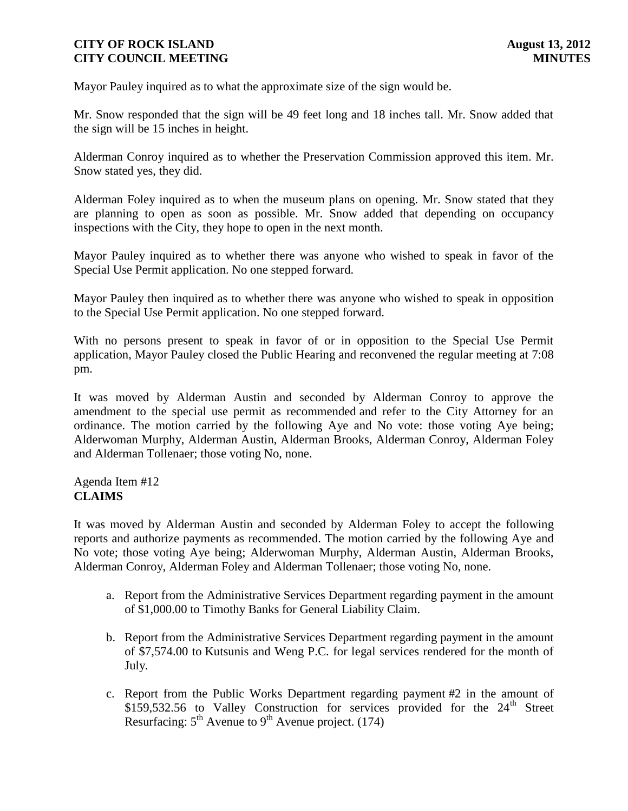Mayor Pauley inquired as to what the approximate size of the sign would be.

Mr. Snow responded that the sign will be 49 feet long and 18 inches tall. Mr. Snow added that the sign will be 15 inches in height.

Alderman Conroy inquired as to whether the Preservation Commission approved this item. Mr. Snow stated yes, they did.

Alderman Foley inquired as to when the museum plans on opening. Mr. Snow stated that they are planning to open as soon as possible. Mr. Snow added that depending on occupancy inspections with the City, they hope to open in the next month.

Mayor Pauley inquired as to whether there was anyone who wished to speak in favor of the Special Use Permit application. No one stepped forward.

Mayor Pauley then inquired as to whether there was anyone who wished to speak in opposition to the Special Use Permit application. No one stepped forward.

With no persons present to speak in favor of or in opposition to the Special Use Permit application, Mayor Pauley closed the Public Hearing and reconvened the regular meeting at 7:08 pm.

It was moved by Alderman Austin and seconded by Alderman Conroy to approve the amendment to the special use permit as recommended and refer to the City Attorney for an ordinance. The motion carried by the following Aye and No vote: those voting Aye being; Alderwoman Murphy, Alderman Austin, Alderman Brooks, Alderman Conroy, Alderman Foley and Alderman Tollenaer; those voting No, none.

### Agenda Item #12 **CLAIMS**

It was moved by Alderman Austin and seconded by Alderman Foley to accept the following reports and authorize payments as recommended. The motion carried by the following Aye and No vote; those voting Aye being; Alderwoman Murphy, Alderman Austin, Alderman Brooks, Alderman Conroy, Alderman Foley and Alderman Tollenaer; those voting No, none.

- a. Report from the Administrative Services Department regarding payment in the amount of \$1,000.00 to Timothy Banks for General Liability Claim.
- b. Report from the Administrative Services Department regarding payment in the amount of \$7,574.00 to Kutsunis and Weng P.C. for legal services rendered for the month of July.
- c. Report from the Public Works Department regarding payment #2 in the amount of \$159,532.56 to Valley Construction for services provided for the  $24<sup>th</sup>$  Street Resurfacing:  $5<sup>th</sup>$  Avenue to  $9<sup>th</sup>$  Avenue project. (174)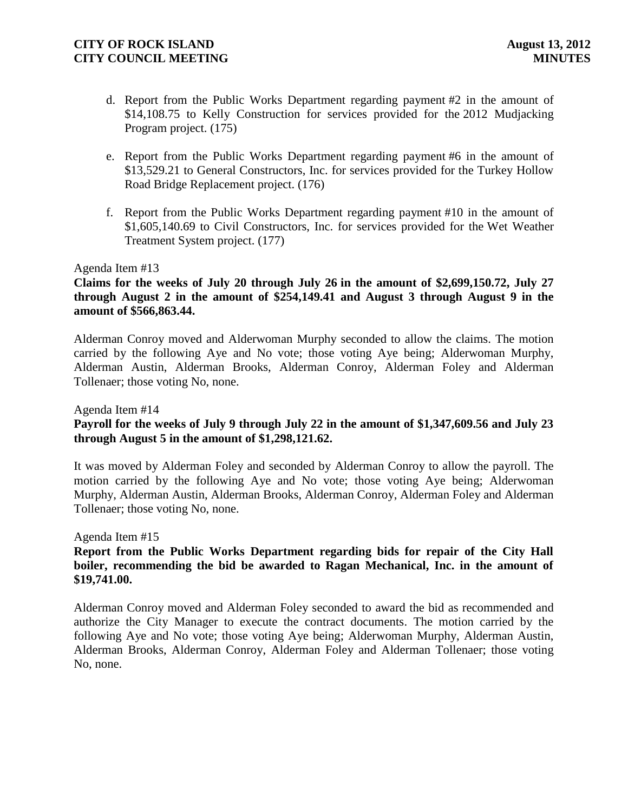- d. Report from the Public Works Department regarding payment #2 in the amount of \$14,108.75 to Kelly Construction for services provided for the 2012 Mudjacking Program project. (175)
- e. Report from the Public Works Department regarding payment #6 in the amount of \$13,529.21 to General Constructors, Inc. for services provided for the Turkey Hollow Road Bridge Replacement project. (176)
- f. Report from the Public Works Department regarding payment #10 in the amount of \$1,605,140.69 to Civil Constructors, Inc. for services provided for the Wet Weather Treatment System project. (177)

### Agenda Item #13

## **Claims for the weeks of July 20 through July 26 in the amount of \$2,699,150.72, July 27 through August 2 in the amount of \$254,149.41 and August 3 through August 9 in the amount of \$566,863.44.**

Alderman Conroy moved and Alderwoman Murphy seconded to allow the claims. The motion carried by the following Aye and No vote; those voting Aye being; Alderwoman Murphy, Alderman Austin, Alderman Brooks, Alderman Conroy, Alderman Foley and Alderman Tollenaer; those voting No, none.

Agenda Item #14

## **Payroll for the weeks of July 9 through July 22 in the amount of \$1,347,609.56 and July 23 through August 5 in the amount of \$1,298,121.62.**

It was moved by Alderman Foley and seconded by Alderman Conroy to allow the payroll. The motion carried by the following Aye and No vote; those voting Aye being; Alderwoman Murphy, Alderman Austin, Alderman Brooks, Alderman Conroy, Alderman Foley and Alderman Tollenaer; those voting No, none.

Agenda Item #15

## **Report from the Public Works Department regarding bids for repair of the City Hall boiler, recommending the bid be awarded to Ragan Mechanical, Inc. in the amount of \$19,741.00.**

Alderman Conroy moved and Alderman Foley seconded to award the bid as recommended and authorize the City Manager to execute the contract documents. The motion carried by the following Aye and No vote; those voting Aye being; Alderwoman Murphy, Alderman Austin, Alderman Brooks, Alderman Conroy, Alderman Foley and Alderman Tollenaer; those voting No, none.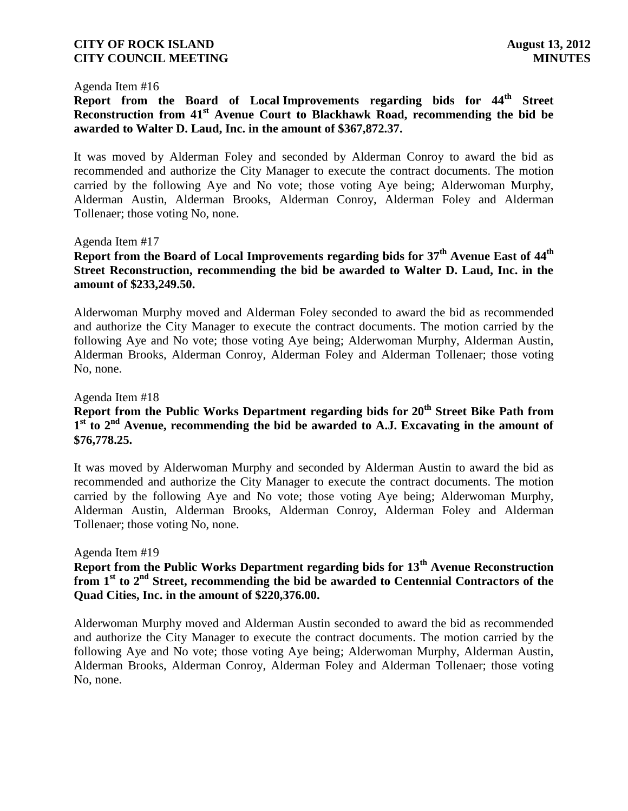### Agenda Item #16

**Report from the Board of Local Improvements regarding bids for 44th Street Reconstruction from 41st Avenue Court to Blackhawk Road, recommending the bid be awarded to Walter D. Laud, Inc. in the amount of \$367,872.37.**

It was moved by Alderman Foley and seconded by Alderman Conroy to award the bid as recommended and authorize the City Manager to execute the contract documents. The motion carried by the following Aye and No vote; those voting Aye being; Alderwoman Murphy, Alderman Austin, Alderman Brooks, Alderman Conroy, Alderman Foley and Alderman Tollenaer; those voting No, none.

### Agenda Item #17

# **Report from the Board of Local Improvements regarding bids for 37th Avenue East of 44th Street Reconstruction, recommending the bid be awarded to Walter D. Laud, Inc. in the amount of \$233,249.50.**

Alderwoman Murphy moved and Alderman Foley seconded to award the bid as recommended and authorize the City Manager to execute the contract documents. The motion carried by the following Aye and No vote; those voting Aye being; Alderwoman Murphy, Alderman Austin, Alderman Brooks, Alderman Conroy, Alderman Foley and Alderman Tollenaer; those voting No, none.

### Agenda Item #18

# **Report from the Public Works Department regarding bids for 20th Street Bike Path from**  1<sup>st</sup> to 2<sup>nd</sup> Avenue, recommending the bid be awarded to A.J. Excavating in the amount of **\$76,778.25.**

It was moved by Alderwoman Murphy and seconded by Alderman Austin to award the bid as recommended and authorize the City Manager to execute the contract documents. The motion carried by the following Aye and No vote; those voting Aye being; Alderwoman Murphy, Alderman Austin, Alderman Brooks, Alderman Conroy, Alderman Foley and Alderman Tollenaer; those voting No, none.

### Agenda Item #19

# **Report from the Public Works Department regarding bids for 13th Avenue Reconstruction from 1st to 2nd Street, recommending the bid be awarded to Centennial Contractors of the Quad Cities, Inc. in the amount of \$220,376.00.**

Alderwoman Murphy moved and Alderman Austin seconded to award the bid as recommended and authorize the City Manager to execute the contract documents. The motion carried by the following Aye and No vote; those voting Aye being; Alderwoman Murphy, Alderman Austin, Alderman Brooks, Alderman Conroy, Alderman Foley and Alderman Tollenaer; those voting No, none.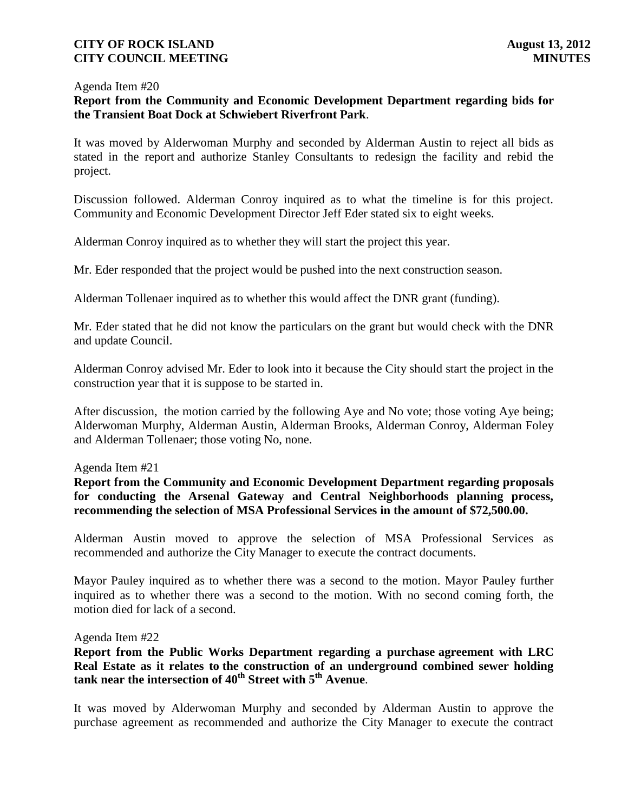### Agenda Item #20

### **Report from the Community and Economic Development Department regarding bids for the Transient Boat Dock at Schwiebert Riverfront Park**.

It was moved by Alderwoman Murphy and seconded by Alderman Austin to reject all bids as stated in the report and authorize Stanley Consultants to redesign the facility and rebid the project.

Discussion followed. Alderman Conroy inquired as to what the timeline is for this project. Community and Economic Development Director Jeff Eder stated six to eight weeks.

Alderman Conroy inquired as to whether they will start the project this year.

Mr. Eder responded that the project would be pushed into the next construction season.

Alderman Tollenaer inquired as to whether this would affect the DNR grant (funding).

Mr. Eder stated that he did not know the particulars on the grant but would check with the DNR and update Council.

Alderman Conroy advised Mr. Eder to look into it because the City should start the project in the construction year that it is suppose to be started in.

After discussion, the motion carried by the following Aye and No vote; those voting Aye being; Alderwoman Murphy, Alderman Austin, Alderman Brooks, Alderman Conroy, Alderman Foley and Alderman Tollenaer; those voting No, none.

### Agenda Item #21

**Report from the Community and Economic Development Department regarding proposals for conducting the Arsenal Gateway and Central Neighborhoods planning process, recommending the selection of MSA Professional Services in the amount of \$72,500.00.** 

Alderman Austin moved to approve the selection of MSA Professional Services as recommended and authorize the City Manager to execute the contract documents.

Mayor Pauley inquired as to whether there was a second to the motion. Mayor Pauley further inquired as to whether there was a second to the motion. With no second coming forth, the motion died for lack of a second.

### Agenda Item #22

**Report from the Public Works Department regarding a purchase agreement with LRC Real Estate as it relates to the construction of an underground combined sewer holding tank near the intersection of 40th Street with 5th Avenue**.

It was moved by Alderwoman Murphy and seconded by Alderman Austin to approve the purchase agreement as recommended and authorize the City Manager to execute the contract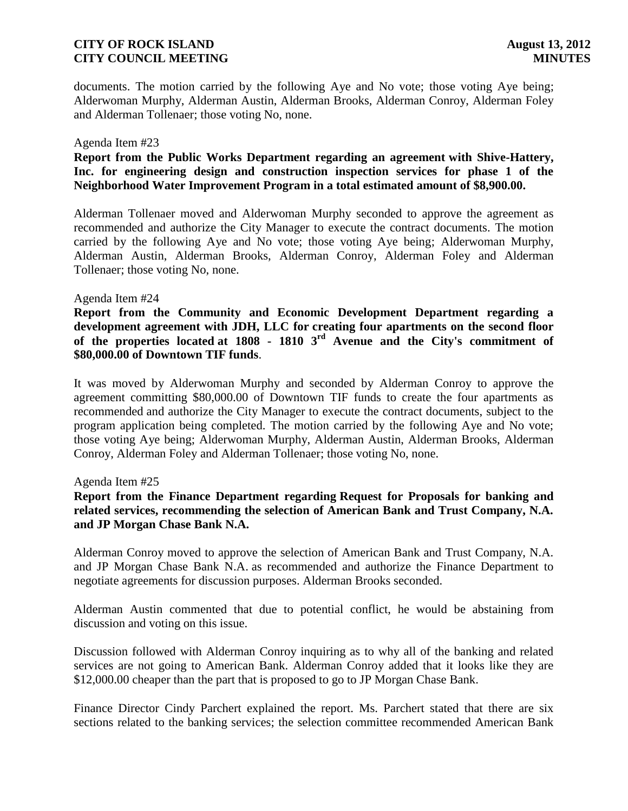documents. The motion carried by the following Aye and No vote; those voting Aye being; Alderwoman Murphy, Alderman Austin, Alderman Brooks, Alderman Conroy, Alderman Foley and Alderman Tollenaer; those voting No, none.

### Agenda Item #23

## **Report from the Public Works Department regarding an agreement with Shive-Hattery, Inc. for engineering design and construction inspection services for phase 1 of the Neighborhood Water Improvement Program in a total estimated amount of \$8,900.00.**

Alderman Tollenaer moved and Alderwoman Murphy seconded to approve the agreement as recommended and authorize the City Manager to execute the contract documents. The motion carried by the following Aye and No vote; those voting Aye being; Alderwoman Murphy, Alderman Austin, Alderman Brooks, Alderman Conroy, Alderman Foley and Alderman Tollenaer; those voting No, none.

### Agenda Item #24

**Report from the Community and Economic Development Department regarding a development agreement with JDH, LLC for creating four apartments on the second floor of the properties located at 1808 - 1810 3rd Avenue and the City's commitment of \$80,000.00 of Downtown TIF funds**.

It was moved by Alderwoman Murphy and seconded by Alderman Conroy to approve the agreement committing \$80,000.00 of Downtown TIF funds to create the four apartments as recommended and authorize the City Manager to execute the contract documents, subject to the program application being completed. The motion carried by the following Aye and No vote; those voting Aye being; Alderwoman Murphy, Alderman Austin, Alderman Brooks, Alderman Conroy, Alderman Foley and Alderman Tollenaer; those voting No, none.

### Agenda Item #25

## **Report from the Finance Department regarding Request for Proposals for banking and related services, recommending the selection of American Bank and Trust Company, N.A. and JP Morgan Chase Bank N.A.**

Alderman Conroy moved to approve the selection of American Bank and Trust Company, N.A. and JP Morgan Chase Bank N.A. as recommended and authorize the Finance Department to negotiate agreements for discussion purposes. Alderman Brooks seconded.

Alderman Austin commented that due to potential conflict, he would be abstaining from discussion and voting on this issue.

Discussion followed with Alderman Conroy inquiring as to why all of the banking and related services are not going to American Bank. Alderman Conroy added that it looks like they are \$12,000.00 cheaper than the part that is proposed to go to JP Morgan Chase Bank.

Finance Director Cindy Parchert explained the report. Ms. Parchert stated that there are six sections related to the banking services; the selection committee recommended American Bank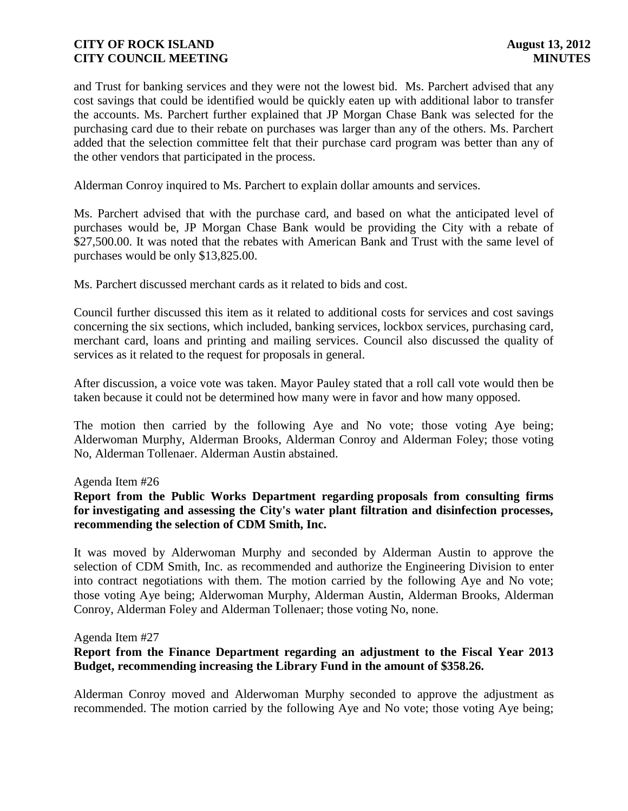and Trust for banking services and they were not the lowest bid. Ms. Parchert advised that any cost savings that could be identified would be quickly eaten up with additional labor to transfer the accounts. Ms. Parchert further explained that JP Morgan Chase Bank was selected for the purchasing card due to their rebate on purchases was larger than any of the others. Ms. Parchert added that the selection committee felt that their purchase card program was better than any of the other vendors that participated in the process.

Alderman Conroy inquired to Ms. Parchert to explain dollar amounts and services.

Ms. Parchert advised that with the purchase card, and based on what the anticipated level of purchases would be, JP Morgan Chase Bank would be providing the City with a rebate of \$27,500.00. It was noted that the rebates with American Bank and Trust with the same level of purchases would be only \$13,825.00.

Ms. Parchert discussed merchant cards as it related to bids and cost.

Council further discussed this item as it related to additional costs for services and cost savings concerning the six sections, which included, banking services, lockbox services, purchasing card, merchant card, loans and printing and mailing services. Council also discussed the quality of services as it related to the request for proposals in general.

After discussion, a voice vote was taken. Mayor Pauley stated that a roll call vote would then be taken because it could not be determined how many were in favor and how many opposed.

The motion then carried by the following Aye and No vote; those voting Aye being; Alderwoman Murphy, Alderman Brooks, Alderman Conroy and Alderman Foley; those voting No, Alderman Tollenaer. Alderman Austin abstained.

### Agenda Item #26

## **Report from the Public Works Department regarding proposals from consulting firms for investigating and assessing the City's water plant filtration and disinfection processes, recommending the selection of CDM Smith, Inc.**

It was moved by Alderwoman Murphy and seconded by Alderman Austin to approve the selection of CDM Smith, Inc. as recommended and authorize the Engineering Division to enter into contract negotiations with them. The motion carried by the following Aye and No vote; those voting Aye being; Alderwoman Murphy, Alderman Austin, Alderman Brooks, Alderman Conroy, Alderman Foley and Alderman Tollenaer; those voting No, none.

### Agenda Item #27

## **Report from the Finance Department regarding an adjustment to the Fiscal Year 2013 Budget, recommending increasing the Library Fund in the amount of \$358.26.**

Alderman Conroy moved and Alderwoman Murphy seconded to approve the adjustment as recommended. The motion carried by the following Aye and No vote; those voting Aye being;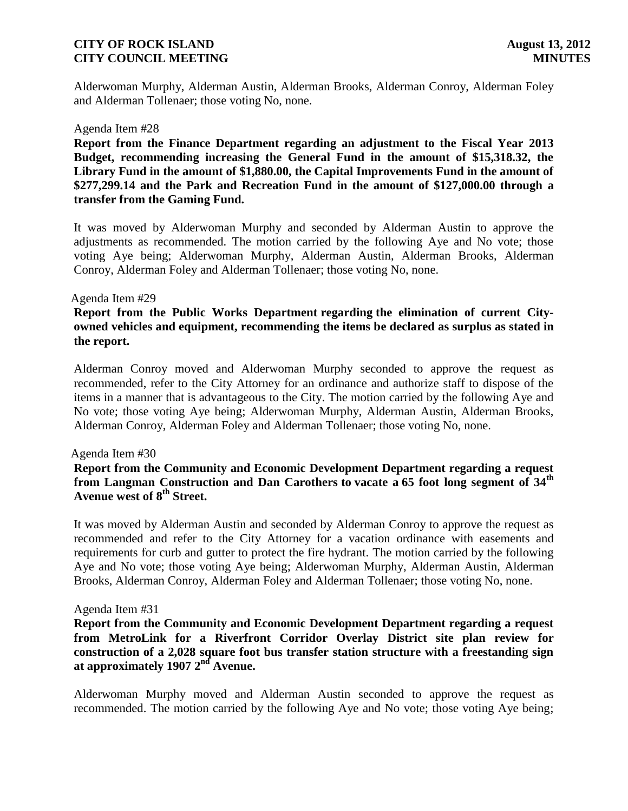Alderwoman Murphy, Alderman Austin, Alderman Brooks, Alderman Conroy, Alderman Foley and Alderman Tollenaer; those voting No, none.

#### Agenda Item #28

**Report from the Finance Department regarding an adjustment to the Fiscal Year 2013 Budget, recommending increasing the General Fund in the amount of \$15,318.32, the Library Fund in the amount of \$1,880.00, the Capital Improvements Fund in the amount of \$277,299.14 and the Park and Recreation Fund in the amount of \$127,000.00 through a transfer from the Gaming Fund.** 

It was moved by Alderwoman Murphy and seconded by Alderman Austin to approve the adjustments as recommended. The motion carried by the following Aye and No vote; those voting Aye being; Alderwoman Murphy, Alderman Austin, Alderman Brooks, Alderman Conroy, Alderman Foley and Alderman Tollenaer; those voting No, none.

#### Agenda Item #29

**Report from the Public Works Department regarding the elimination of current Cityowned vehicles and equipment, recommending the items be declared as surplus as stated in the report.**

Alderman Conroy moved and Alderwoman Murphy seconded to approve the request as recommended, refer to the City Attorney for an ordinance and authorize staff to dispose of the items in a manner that is advantageous to the City. The motion carried by the following Aye and No vote; those voting Aye being; Alderwoman Murphy, Alderman Austin, Alderman Brooks, Alderman Conroy, Alderman Foley and Alderman Tollenaer; those voting No, none.

### Agenda Item #30

### **Report from the Community and Economic Development Department regarding a request from Langman Construction and Dan Carothers to vacate a 65 foot long segment of 34th Avenue west of 8th Street.**

It was moved by Alderman Austin and seconded by Alderman Conroy to approve the request as recommended and refer to the City Attorney for a vacation ordinance with easements and requirements for curb and gutter to protect the fire hydrant. The motion carried by the following Aye and No vote; those voting Aye being; Alderwoman Murphy, Alderman Austin, Alderman Brooks, Alderman Conroy, Alderman Foley and Alderman Tollenaer; those voting No, none.

### Agenda Item #31

**Report from the Community and Economic Development Department regarding a request from MetroLink for a Riverfront Corridor Overlay District site plan review for construction of a 2,028 square foot bus transfer station structure with a freestanding sign at approximately 1907 2nd Avenue.** 

Alderwoman Murphy moved and Alderman Austin seconded to approve the request as recommended. The motion carried by the following Aye and No vote; those voting Aye being;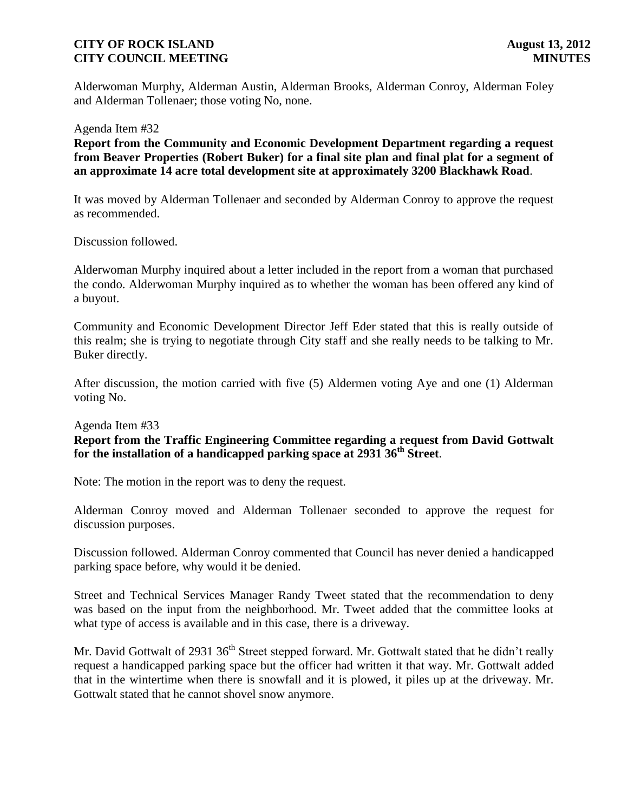Alderwoman Murphy, Alderman Austin, Alderman Brooks, Alderman Conroy, Alderman Foley and Alderman Tollenaer; those voting No, none.

Agenda Item #32

**Report from the Community and Economic Development Department regarding a request from Beaver Properties (Robert Buker) for a final site plan and final plat for a segment of an approximate 14 acre total development site at approximately 3200 Blackhawk Road**.

It was moved by Alderman Tollenaer and seconded by Alderman Conroy to approve the request as recommended.

Discussion followed.

Alderwoman Murphy inquired about a letter included in the report from a woman that purchased the condo. Alderwoman Murphy inquired as to whether the woman has been offered any kind of a buyout.

Community and Economic Development Director Jeff Eder stated that this is really outside of this realm; she is trying to negotiate through City staff and she really needs to be talking to Mr. Buker directly.

After discussion, the motion carried with five (5) Aldermen voting Aye and one (1) Alderman voting No.

Agenda Item #33

## **Report from the Traffic Engineering Committee regarding a request from David Gottwalt for the installation of a handicapped parking space at 2931 36th Street**.

Note: The motion in the report was to deny the request.

Alderman Conroy moved and Alderman Tollenaer seconded to approve the request for discussion purposes.

Discussion followed. Alderman Conroy commented that Council has never denied a handicapped parking space before, why would it be denied.

Street and Technical Services Manager Randy Tweet stated that the recommendation to deny was based on the input from the neighborhood. Mr. Tweet added that the committee looks at what type of access is available and in this case, there is a driveway.

Mr. David Gottwalt of 2931 36<sup>th</sup> Street stepped forward. Mr. Gottwalt stated that he didn't really request a handicapped parking space but the officer had written it that way. Mr. Gottwalt added that in the wintertime when there is snowfall and it is plowed, it piles up at the driveway. Mr. Gottwalt stated that he cannot shovel snow anymore.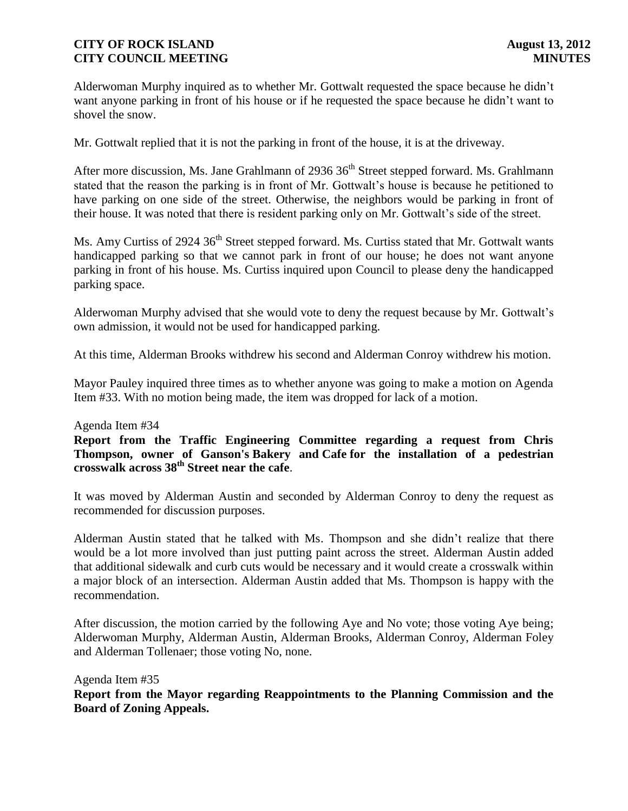Alderwoman Murphy inquired as to whether Mr. Gottwalt requested the space because he didn't want anyone parking in front of his house or if he requested the space because he didn't want to shovel the snow.

Mr. Gottwalt replied that it is not the parking in front of the house, it is at the driveway.

After more discussion, Ms. Jane Grahlmann of 2936 36<sup>th</sup> Street stepped forward. Ms. Grahlmann stated that the reason the parking is in front of Mr. Gottwalt's house is because he petitioned to have parking on one side of the street. Otherwise, the neighbors would be parking in front of their house. It was noted that there is resident parking only on Mr. Gottwalt's side of the street.

Ms. Amy Curtiss of 2924 36<sup>th</sup> Street stepped forward. Ms. Curtiss stated that Mr. Gottwalt wants handicapped parking so that we cannot park in front of our house; he does not want anyone parking in front of his house. Ms. Curtiss inquired upon Council to please deny the handicapped parking space.

Alderwoman Murphy advised that she would vote to deny the request because by Mr. Gottwalt's own admission, it would not be used for handicapped parking.

At this time, Alderman Brooks withdrew his second and Alderman Conroy withdrew his motion.

Mayor Pauley inquired three times as to whether anyone was going to make a motion on Agenda Item #33. With no motion being made, the item was dropped for lack of a motion.

### Agenda Item #34

**Report from the Traffic Engineering Committee regarding a request from Chris Thompson, owner of Ganson's Bakery and Cafe for the installation of a pedestrian crosswalk across 38th Street near the cafe**.

It was moved by Alderman Austin and seconded by Alderman Conroy to deny the request as recommended for discussion purposes.

Alderman Austin stated that he talked with Ms. Thompson and she didn't realize that there would be a lot more involved than just putting paint across the street. Alderman Austin added that additional sidewalk and curb cuts would be necessary and it would create a crosswalk within a major block of an intersection. Alderman Austin added that Ms. Thompson is happy with the recommendation.

After discussion, the motion carried by the following Aye and No vote; those voting Aye being; Alderwoman Murphy, Alderman Austin, Alderman Brooks, Alderman Conroy, Alderman Foley and Alderman Tollenaer; those voting No, none.

 Agenda Item #35 **Report from the Mayor regarding Reappointments to the Planning Commission and the Board of Zoning Appeals.**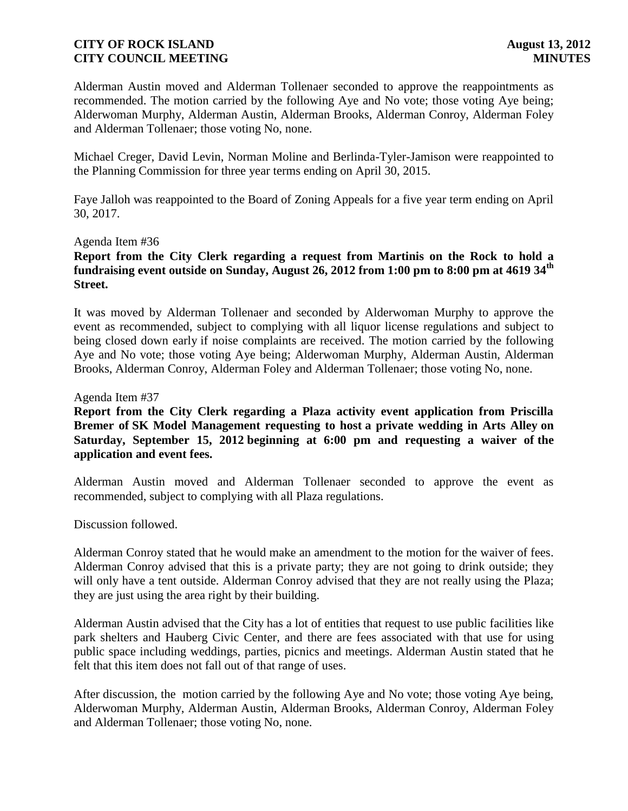Alderman Austin moved and Alderman Tollenaer seconded to approve the reappointments as recommended. The motion carried by the following Aye and No vote; those voting Aye being; Alderwoman Murphy, Alderman Austin, Alderman Brooks, Alderman Conroy, Alderman Foley and Alderman Tollenaer; those voting No, none.

Michael Creger, David Levin, Norman Moline and Berlinda-Tyler-Jamison were reappointed to the Planning Commission for three year terms ending on April 30, 2015.

Faye Jalloh was reappointed to the Board of Zoning Appeals for a five year term ending on April 30, 2017.

### Agenda Item #36

## **Report from the City Clerk regarding a request from Martinis on the Rock to hold a fundraising event outside on Sunday, August 26, 2012 from 1:00 pm to 8:00 pm at 4619 34th Street.**

It was moved by Alderman Tollenaer and seconded by Alderwoman Murphy to approve the event as recommended, subject to complying with all liquor license regulations and subject to being closed down early if noise complaints are received. The motion carried by the following Aye and No vote; those voting Aye being; Alderwoman Murphy, Alderman Austin, Alderman Brooks, Alderman Conroy, Alderman Foley and Alderman Tollenaer; those voting No, none.

### Agenda Item #37

## **Report from the City Clerk regarding a Plaza activity event application from Priscilla Bremer of SK Model Management requesting to host a private wedding in Arts Alley on Saturday, September 15, 2012 beginning at 6:00 pm and requesting a waiver of the application and event fees.**

Alderman Austin moved and Alderman Tollenaer seconded to approve the event as recommended, subject to complying with all Plaza regulations.

### Discussion followed.

Alderman Conroy stated that he would make an amendment to the motion for the waiver of fees. Alderman Conroy advised that this is a private party; they are not going to drink outside; they will only have a tent outside. Alderman Conroy advised that they are not really using the Plaza; they are just using the area right by their building.

Alderman Austin advised that the City has a lot of entities that request to use public facilities like park shelters and Hauberg Civic Center, and there are fees associated with that use for using public space including weddings, parties, picnics and meetings. Alderman Austin stated that he felt that this item does not fall out of that range of uses.

After discussion, the motion carried by the following Aye and No vote; those voting Aye being, Alderwoman Murphy, Alderman Austin, Alderman Brooks, Alderman Conroy, Alderman Foley and Alderman Tollenaer; those voting No, none.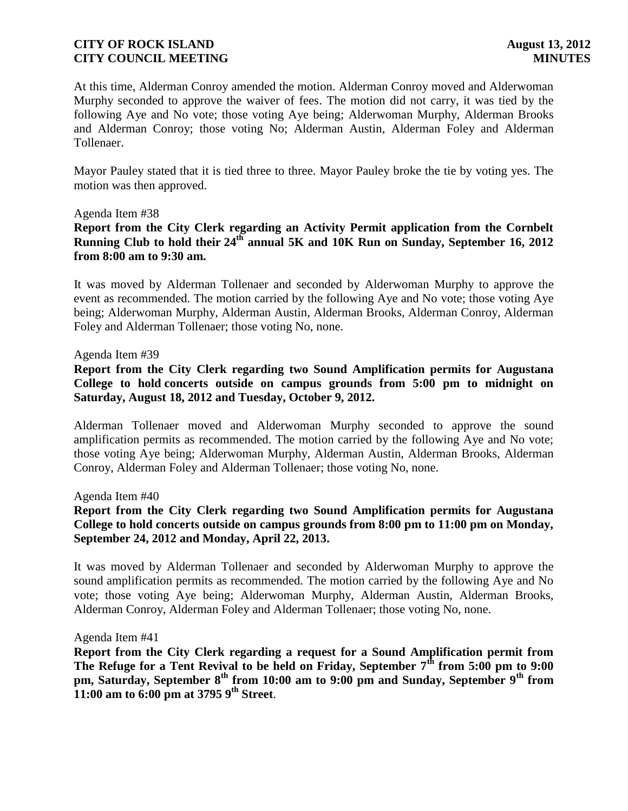At this time, Alderman Conroy amended the motion. Alderman Conroy moved and Alderwoman Murphy seconded to approve the waiver of fees. The motion did not carry, it was tied by the following Aye and No vote; those voting Aye being; Alderwoman Murphy, Alderman Brooks and Alderman Conroy; those voting No; Alderman Austin, Alderman Foley and Alderman Tollenaer.

Mayor Pauley stated that it is tied three to three. Mayor Pauley broke the tie by voting yes. The motion was then approved.

### Agenda Item #38

## **Report from the City Clerk regarding an Activity Permit application from the Cornbelt Running Club to hold their 24th annual 5K and 10K Run on Sunday, September 16, 2012 from 8:00 am to 9:30 am.**

 It was moved by Alderman Tollenaer and seconded by Alderwoman Murphy to approve the event as recommended. The motion carried by the following Aye and No vote; those voting Aye being; Alderwoman Murphy, Alderman Austin, Alderman Brooks, Alderman Conroy, Alderman Foley and Alderman Tollenaer; those voting No, none.

### Agenda Item #39

 **Report from the City Clerk regarding two Sound Amplification permits for Augustana College to hold concerts outside on campus grounds from 5:00 pm to midnight on Saturday, August 18, 2012 and Tuesday, October 9, 2012.**

Alderman Tollenaer moved and Alderwoman Murphy seconded to approve the sound amplification permits as recommended. The motion carried by the following Aye and No vote; those voting Aye being; Alderwoman Murphy, Alderman Austin, Alderman Brooks, Alderman Conroy, Alderman Foley and Alderman Tollenaer; those voting No, none.

Agenda Item #40

## **Report from the City Clerk regarding two Sound Amplification permits for Augustana College to hold concerts outside on campus grounds from 8:00 pm to 11:00 pm on Monday, September 24, 2012 and Monday, April 22, 2013.**

It was moved by Alderman Tollenaer and seconded by Alderwoman Murphy to approve the sound amplification permits as recommended. The motion carried by the following Aye and No vote; those voting Aye being; Alderwoman Murphy, Alderman Austin, Alderman Brooks, Alderman Conroy, Alderman Foley and Alderman Tollenaer; those voting No, none.

### Agenda Item #41

**Report from the City Clerk regarding a request for a Sound Amplification permit from The Refuge for a Tent Revival to be held on Friday, September 7th from 5:00 pm to 9:00 pm, Saturday, September 8th from 10:00 am to 9:00 pm and Sunday, September 9th from 11:00 am to 6:00 pm at 3795 9th Street**.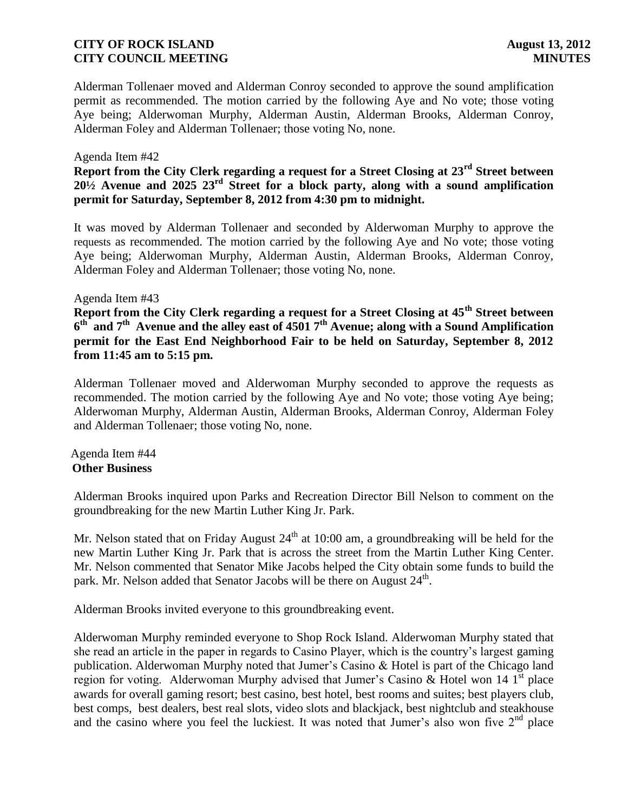Alderman Tollenaer moved and Alderman Conroy seconded to approve the sound amplification permit as recommended. The motion carried by the following Aye and No vote; those voting Aye being; Alderwoman Murphy, Alderman Austin, Alderman Brooks, Alderman Conroy, Alderman Foley and Alderman Tollenaer; those voting No, none.

### Agenda Item #42

**Report from the City Clerk regarding a request for a Street Closing at 23rd Street between 20½ Avenue and 2025 23rd Street for a block party, along with a sound amplification permit for Saturday, September 8, 2012 from 4:30 pm to midnight.**

It was moved by Alderman Tollenaer and seconded by Alderwoman Murphy to approve the requests as recommended. The motion carried by the following Aye and No vote; those voting Aye being; Alderwoman Murphy, Alderman Austin, Alderman Brooks, Alderman Conroy, Alderman Foley and Alderman Tollenaer; those voting No, none.

### Agenda Item #43

**Report from the City Clerk regarding a request for a Street Closing at 45th Street between 6 th and 7th Avenue and the alley east of 4501 7th Avenue; along with a Sound Amplification permit for the East End Neighborhood Fair to be held on Saturday, September 8, 2012 from 11:45 am to 5:15 pm.**

Alderman Tollenaer moved and Alderwoman Murphy seconded to approve the requests as recommended. The motion carried by the following Aye and No vote; those voting Aye being; Alderwoman Murphy, Alderman Austin, Alderman Brooks, Alderman Conroy, Alderman Foley and Alderman Tollenaer; those voting No, none.

### Agenda Item #44 **Other Business**

Alderman Brooks inquired upon Parks and Recreation Director Bill Nelson to comment on the groundbreaking for the new Martin Luther King Jr. Park.

Mr. Nelson stated that on Friday August  $24<sup>th</sup>$  at 10:00 am, a groundbreaking will be held for the new Martin Luther King Jr. Park that is across the street from the Martin Luther King Center. Mr. Nelson commented that Senator Mike Jacobs helped the City obtain some funds to build the park. Mr. Nelson added that Senator Jacobs will be there on August 24<sup>th</sup>.

Alderman Brooks invited everyone to this groundbreaking event.

Alderwoman Murphy reminded everyone to Shop Rock Island. Alderwoman Murphy stated that she read an article in the paper in regards to Casino Player, which is the country's largest gaming publication. Alderwoman Murphy noted that Jumer's Casino & Hotel is part of the Chicago land region for voting. Alderwoman Murphy advised that Jumer's Casino & Hotel won 14  $1<sup>st</sup>$  place awards for overall gaming resort; best casino, best hotel, best rooms and suites; best players club, best comps, best dealers, best real slots, video slots and blackjack, best nightclub and steakhouse and the casino where you feel the luckiest. It was noted that Jumer's also won five 2<sup>nd</sup> place